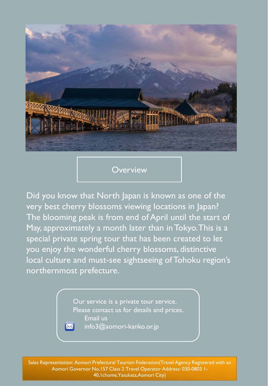

**Overview** 

Did you know that North Japan is known as one of the very best cherry blossoms viewing locations in Japan? The blooming peak is from end of April until the start of May, approximately a month later than in Tokyo. This is a special private spring tour that has been created to let you enjoy the wonderful cherry blossoms, distinctive local culture and must-see sightseeing of Tohoku region's northernmost prefecture.

> Our service is a private tour service. Please contact us for details and prices. Email us info3@aomori-kanko.or.jp

Sales Representation: Aomori Prefectural Tourism Federation(Travel Agency Registered with an Aomori Governor No.157 Class 2 Travel Operator Address: 030-0803 1-40,1chome,Yasukata,Aomori City)